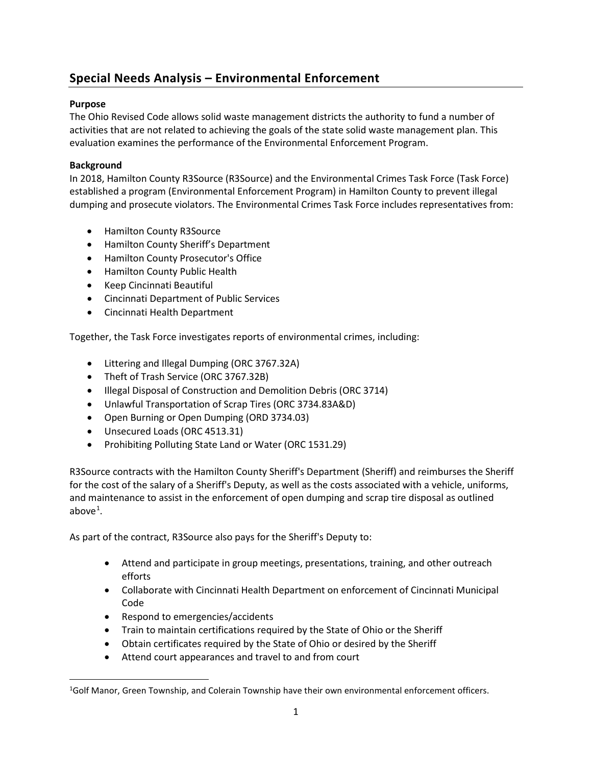# **Special Needs Analysis – Environmental Enforcement**

# **Purpose**

The Ohio Revised Code allows solid waste management districts the authority to fund a number of activities that are not related to achieving the goals of the state solid waste management plan. This evaluation examines the performance of the Environmental Enforcement Program.

# **Background**

In 2018, Hamilton County R3Source (R3Source) and the Environmental Crimes Task Force (Task Force) established a program (Environmental Enforcement Program) in Hamilton County to prevent illegal dumping and prosecute violators. The Environmental Crimes Task Force includes representatives from:

- Hamilton County R3Source
- Hamilton County Sheriff's Department
- Hamilton County Prosecutor's Office
- Hamilton County Public Health
- Keep Cincinnati Beautiful
- Cincinnati Department of Public Services
- Cincinnati Health Department

Together, the Task Force investigates reports of environmental crimes, including:

- Littering and Illegal Dumping (ORC 3767.32A)
- Theft of Trash Service (ORC 3767.32B)
- Illegal Disposal of Construction and Demolition Debris (ORC 3714)
- Unlawful Transportation of Scrap Tires (ORC 3734.83A&D)
- Open Burning or Open Dumping (ORD 3734.03)
- Unsecured Loads (ORC 4513.31)
- Prohibiting Polluting State Land or Water (ORC 1531.29)

R3Source contracts with the Hamilton County Sheriff's Department (Sheriff) and reimburses the Sheriff for the cost of the salary of a Sheriff's Deputy, as well as the costs associated with a vehicle, uniforms, and maintenance to assist in the enforcement of open dumping and scrap tire disposal as outlined above $^1$  $^1$ .

As part of the contract, R3Source also pays for the Sheriff's Deputy to:

- Attend and participate in group meetings, presentations, training, and other outreach efforts
- Collaborate with Cincinnati Health Department on enforcement of Cincinnati Municipal Code
- Respond to emergencies/accidents
- Train to maintain certifications required by the State of Ohio or the Sheriff
- Obtain certificates required by the State of Ohio or desired by the Sheriff
- Attend court appearances and travel to and from court

<span id="page-0-0"></span><sup>&</sup>lt;sup>1</sup>Golf Manor, Green Township, and Colerain Township have their own environmental enforcement officers.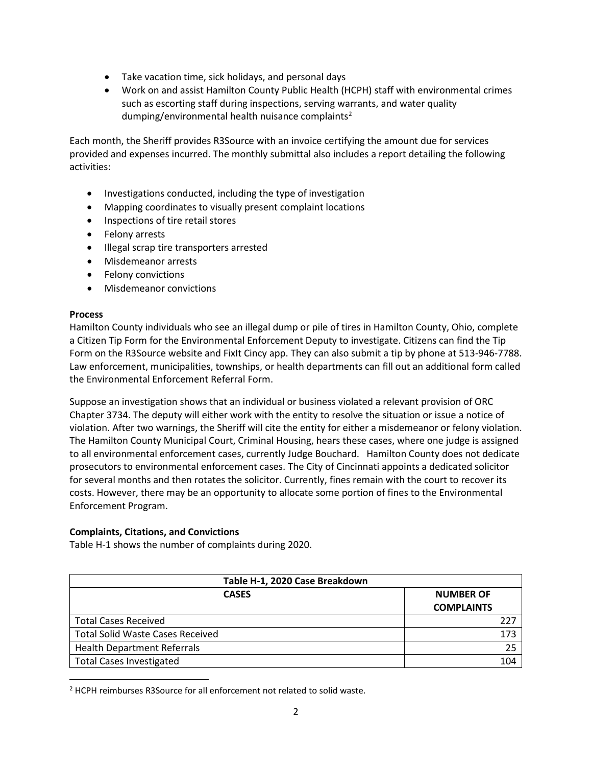- Take vacation time, sick holidays, and personal days
- Work on and assist Hamilton County Public Health (HCPH) staff with environmental crimes such as escorting staff during inspections, serving warrants, and water quality dumping/environmental health nuisance complaints<sup>[2](#page-1-0)</sup>

Each month, the Sheriff provides R3Source with an invoice certifying the amount due for services provided and expenses incurred. The monthly submittal also includes a report detailing the following activities:

- Investigations conducted, including the type of investigation
- Mapping coordinates to visually present complaint locations
- Inspections of tire retail stores
- Felony arrests
- Illegal scrap tire transporters arrested
- Misdemeanor arrests
- Felony convictions
- Misdemeanor convictions

## **Process**

Hamilton County individuals who see an illegal dump or pile of tires in Hamilton County, Ohio, complete a Citizen Tip Form for the Environmental Enforcement Deputy to investigate. Citizens can find the Tip Form on the R3Source website and FixIt Cincy app. They can also submit a tip by phone at 513-946-7788. Law enforcement, municipalities, townships, or health departments can fill out an additional form called the Environmental Enforcement Referral Form.

Suppose an investigation shows that an individual or business violated a relevant provision of ORC Chapter 3734. The deputy will either work with the entity to resolve the situation or issue a notice of violation. After two warnings, the Sheriff will cite the entity for either a misdemeanor or felony violation. The Hamilton County Municipal Court, Criminal Housing, hears these cases, where one judge is assigned to all environmental enforcement cases, currently Judge Bouchard. Hamilton County does not dedicate prosecutors to environmental enforcement cases. The City of Cincinnati appoints a dedicated solicitor for several months and then rotates the solicitor. Currently, fines remain with the court to recover its costs. However, there may be an opportunity to allocate some portion of fines to the Environmental Enforcement Program.

# **Complaints, Citations, and Convictions**

Table H-1 shows the number of complaints during 2020.

| Table H-1, 2020 Case Breakdown          |                   |  |  |
|-----------------------------------------|-------------------|--|--|
| <b>CASES</b>                            | <b>NUMBER OF</b>  |  |  |
|                                         | <b>COMPLAINTS</b> |  |  |
| <b>Total Cases Received</b>             | 227               |  |  |
| <b>Total Solid Waste Cases Received</b> | 173               |  |  |
| <b>Health Department Referrals</b>      | 25                |  |  |
| <b>Total Cases Investigated</b>         | 104               |  |  |

<span id="page-1-0"></span><sup>2</sup> HCPH reimburses R3Source for all enforcement not related to solid waste.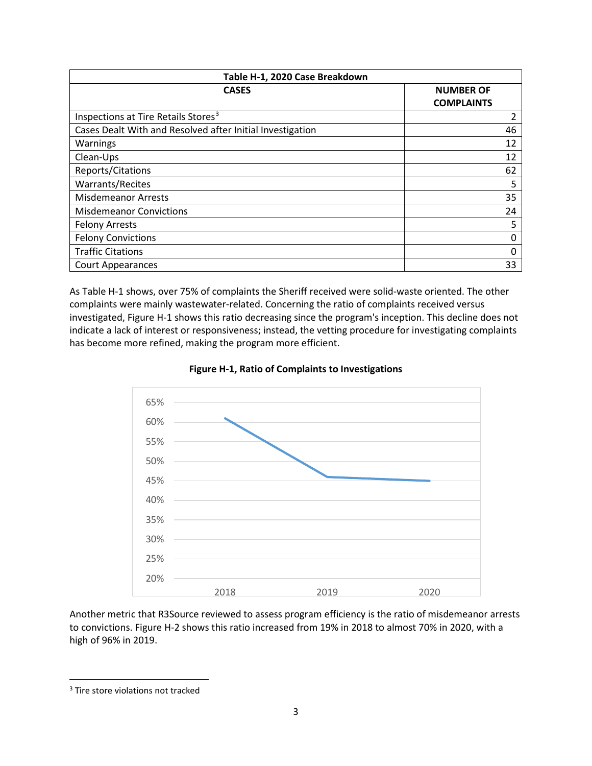| Table H-1, 2020 Case Breakdown                            |                                       |  |  |  |  |
|-----------------------------------------------------------|---------------------------------------|--|--|--|--|
| <b>CASES</b>                                              | <b>NUMBER OF</b><br><b>COMPLAINTS</b> |  |  |  |  |
| Inspections at Tire Retails Stores <sup>3</sup>           | 2                                     |  |  |  |  |
| Cases Dealt With and Resolved after Initial Investigation | 46                                    |  |  |  |  |
| Warnings                                                  | 12                                    |  |  |  |  |
| Clean-Ups                                                 | 12                                    |  |  |  |  |
| Reports/Citations                                         | 62                                    |  |  |  |  |
| Warrants/Recites                                          | 5                                     |  |  |  |  |
| <b>Misdemeanor Arrests</b>                                | 35                                    |  |  |  |  |
| <b>Misdemeanor Convictions</b>                            | 24                                    |  |  |  |  |
| <b>Felony Arrests</b>                                     | 5                                     |  |  |  |  |
| <b>Felony Convictions</b>                                 | 0                                     |  |  |  |  |
| <b>Traffic Citations</b>                                  | 0                                     |  |  |  |  |
| <b>Court Appearances</b>                                  | 33                                    |  |  |  |  |

As Table H-1 shows, over 75% of complaints the Sheriff received were solid-waste oriented. The other complaints were mainly wastewater-related. Concerning the ratio of complaints received versus investigated, Figure H-1 shows this ratio decreasing since the program's inception. This decline does not indicate a lack of interest or responsiveness; instead, the vetting procedure for investigating complaints has become more refined, making the program more efficient.





Another metric that R3Source reviewed to assess program efficiency is the ratio of misdemeanor arrests to convictions. Figure H-2 shows this ratio increased from 19% in 2018 to almost 70% in 2020, with a high of 96% in 2019.

<span id="page-2-0"></span><sup>&</sup>lt;sup>3</sup> Tire store violations not tracked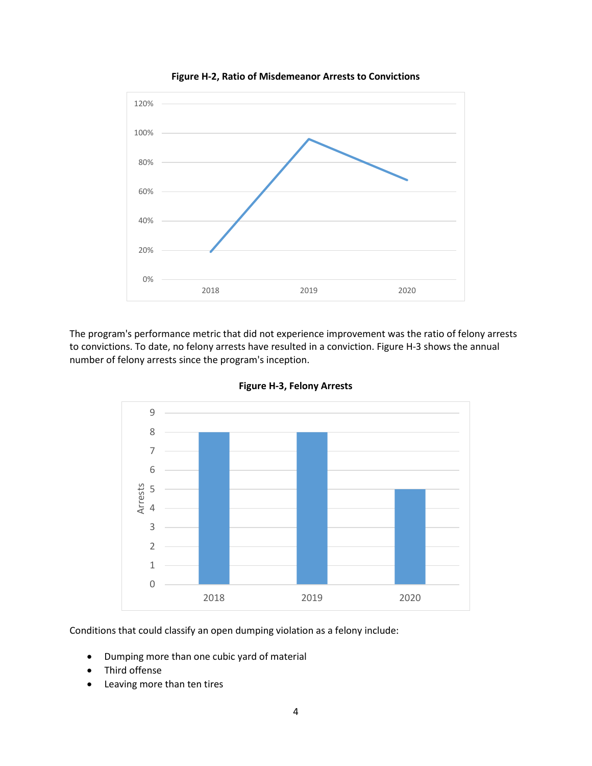

**Figure H-2, Ratio of Misdemeanor Arrests to Convictions**

The program's performance metric that did not experience improvement was the ratio of felony arrests to convictions. To date, no felony arrests have resulted in a conviction. Figure H-3 shows the annual number of felony arrests since the program's inception.



**Figure H-3, Felony Arrests**

Conditions that could classify an open dumping violation as a felony include:

- Dumping more than one cubic yard of material
- Third offense
- Leaving more than ten tires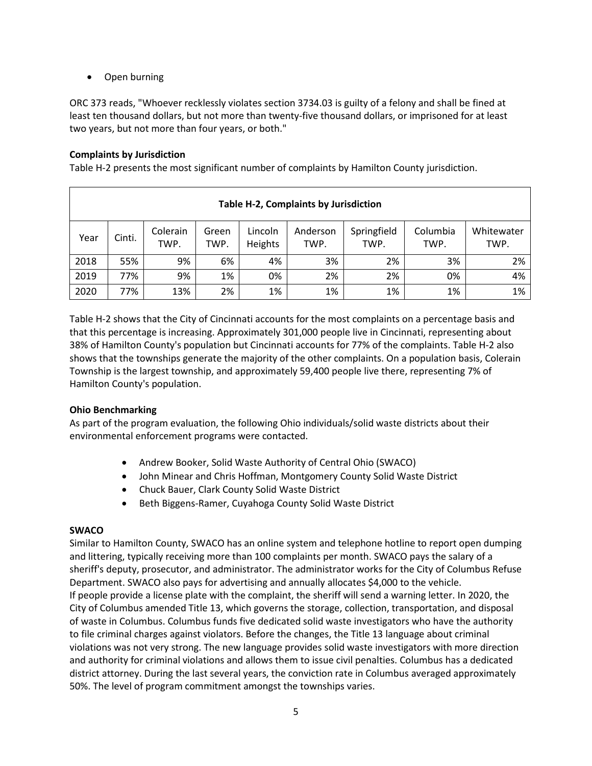• Open burning

ORC 373 reads, "Whoever recklessly violates section 3734.03 is guilty of a felony and shall be fined at least ten thousand dollars, but not more than twenty-five thousand dollars, or imprisoned for at least two years, but not more than four years, or both."

## **Complaints by Jurisdiction**

Table H-2 presents the most significant number of complaints by Hamilton County jurisdiction.

| Table H-2, Complaints by Jurisdiction |        |                  |               |                    |                  |                     |                  |                    |
|---------------------------------------|--------|------------------|---------------|--------------------|------------------|---------------------|------------------|--------------------|
| Year                                  | Cinti. | Colerain<br>TWP. | Green<br>TWP. | Lincoln<br>Heights | Anderson<br>TWP. | Springfield<br>TWP. | Columbia<br>TWP. | Whitewater<br>TWP. |
| 2018                                  | 55%    | 9%               | 6%            | 4%                 | 3%               | 2%                  | 3%               | 2%                 |
| 2019                                  | 77%    | 9%               | 1%            | 0%                 | 2%               | 2%                  | 0%               | 4%                 |
| 2020                                  | 77%    | 13%              | 2%            | 1%                 | 1%               | 1%                  | 1%               | 1%                 |

Table H-2 shows that the City of Cincinnati accounts for the most complaints on a percentage basis and that this percentage is increasing. Approximately 301,000 people live in Cincinnati, representing about 38% of Hamilton County's population but Cincinnati accounts for 77% of the complaints. Table H-2 also shows that the townships generate the majority of the other complaints. On a population basis, Colerain Township is the largest township, and approximately 59,400 people live there, representing 7% of Hamilton County's population.

#### **Ohio Benchmarking**

As part of the program evaluation, the following Ohio individuals/solid waste districts about their environmental enforcement programs were contacted.

- Andrew Booker, Solid Waste Authority of Central Ohio (SWACO)
- John Minear and Chris Hoffman, Montgomery County Solid Waste District
- Chuck Bauer, Clark County Solid Waste District
- Beth Biggens-Ramer, Cuyahoga County Solid Waste District

#### **SWACO**

Similar to Hamilton County, SWACO has an online system and telephone hotline to report open dumping and littering, typically receiving more than 100 complaints per month. SWACO pays the salary of a sheriff's deputy, prosecutor, and administrator. The administrator works for the City of Columbus Refuse Department. SWACO also pays for advertising and annually allocates \$4,000 to the vehicle. If people provide a license plate with the complaint, the sheriff will send a warning letter. In 2020, the City of Columbus amended Title 13, which governs the storage, collection, transportation, and disposal of waste in Columbus. Columbus funds five dedicated solid waste investigators who have the authority to file criminal charges against violators. Before the changes, the Title 13 language about criminal violations was not very strong. The new language provides solid waste investigators with more direction and authority for criminal violations and allows them to issue civil penalties. Columbus has a dedicated district attorney. During the last several years, the conviction rate in Columbus averaged approximately 50%. The level of program commitment amongst the townships varies.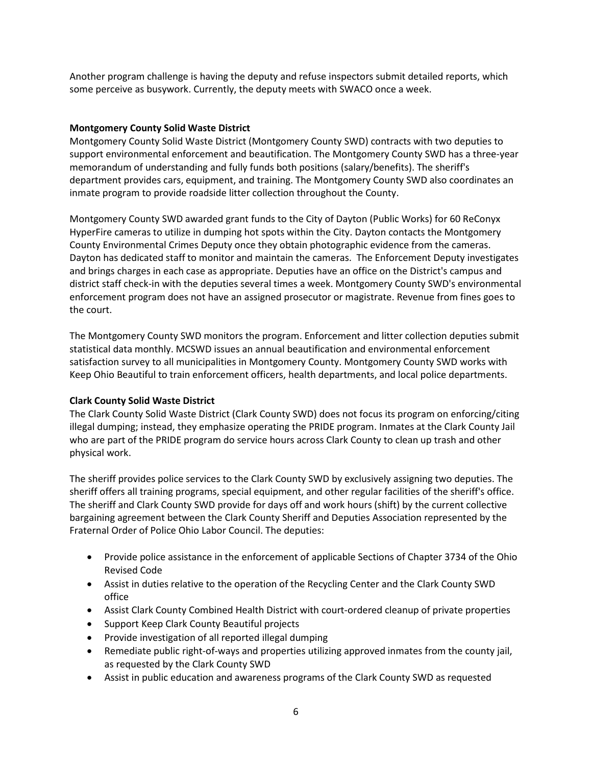Another program challenge is having the deputy and refuse inspectors submit detailed reports, which some perceive as busywork. Currently, the deputy meets with SWACO once a week.

#### **Montgomery County Solid Waste District**

Montgomery County Solid Waste District (Montgomery County SWD) contracts with two deputies to support environmental enforcement and beautification. The Montgomery County SWD has a three-year memorandum of understanding and fully funds both positions (salary/benefits). The sheriff's department provides cars, equipment, and training. The Montgomery County SWD also coordinates an inmate program to provide roadside litter collection throughout the County.

Montgomery County SWD awarded grant funds to the City of Dayton (Public Works) for 60 ReConyx HyperFire cameras to utilize in dumping hot spots within the City. Dayton contacts the Montgomery County Environmental Crimes Deputy once they obtain photographic evidence from the cameras. Dayton has dedicated staff to monitor and maintain the cameras. The Enforcement Deputy investigates and brings charges in each case as appropriate. Deputies have an office on the District's campus and district staff check-in with the deputies several times a week. Montgomery County SWD's environmental enforcement program does not have an assigned prosecutor or magistrate. Revenue from fines goes to the court.

The Montgomery County SWD monitors the program. Enforcement and litter collection deputies submit statistical data monthly. MCSWD issues an annual beautification and environmental enforcement satisfaction survey to all municipalities in Montgomery County. Montgomery County SWD works with Keep Ohio Beautiful to train enforcement officers, health departments, and local police departments.

#### **Clark County Solid Waste District**

The Clark County Solid Waste District (Clark County SWD) does not focus its program on enforcing/citing illegal dumping; instead, they emphasize operating the PRIDE program. Inmates at the Clark County Jail who are part of the PRIDE program do service hours across Clark County to clean up trash and other physical work.

The sheriff provides police services to the Clark County SWD by exclusively assigning two deputies. The sheriff offers all training programs, special equipment, and other regular facilities of the sheriff's office. The sheriff and Clark County SWD provide for days off and work hours (shift) by the current collective bargaining agreement between the Clark County Sheriff and Deputies Association represented by the Fraternal Order of Police Ohio Labor Council. The deputies:

- Provide police assistance in the enforcement of applicable Sections of Chapter 3734 of the Ohio Revised Code
- Assist in duties relative to the operation of the Recycling Center and the Clark County SWD office
- Assist Clark County Combined Health District with court-ordered cleanup of private properties
- Support Keep Clark County Beautiful projects
- Provide investigation of all reported illegal dumping
- Remediate public right-of-ways and properties utilizing approved inmates from the county jail, as requested by the Clark County SWD
- Assist in public education and awareness programs of the Clark County SWD as requested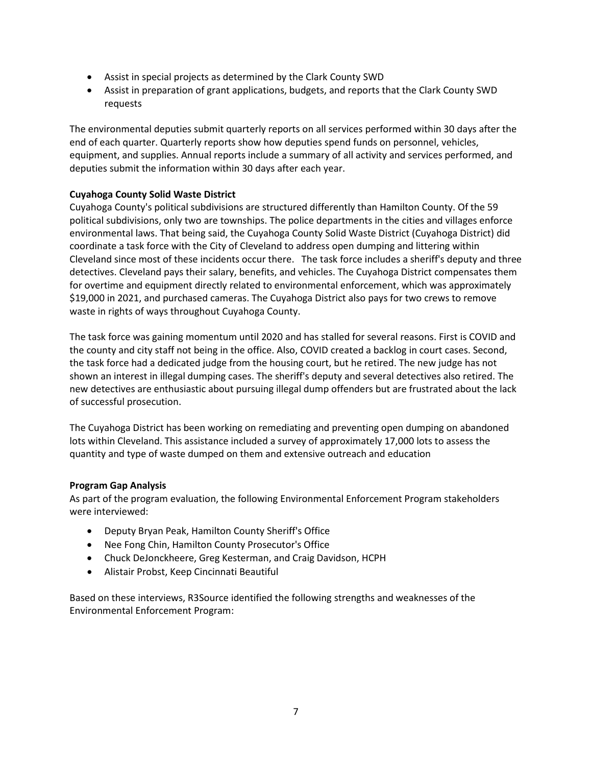- Assist in special projects as determined by the Clark County SWD
- Assist in preparation of grant applications, budgets, and reports that the Clark County SWD requests

The environmental deputies submit quarterly reports on all services performed within 30 days after the end of each quarter. Quarterly reports show how deputies spend funds on personnel, vehicles, equipment, and supplies. Annual reports include a summary of all activity and services performed, and deputies submit the information within 30 days after each year.

## **Cuyahoga County Solid Waste District**

Cuyahoga County's political subdivisions are structured differently than Hamilton County. Of the 59 political subdivisions, only two are townships. The police departments in the cities and villages enforce environmental laws. That being said, the Cuyahoga County Solid Waste District (Cuyahoga District) did coordinate a task force with the City of Cleveland to address open dumping and littering within Cleveland since most of these incidents occur there. The task force includes a sheriff's deputy and three detectives. Cleveland pays their salary, benefits, and vehicles. The Cuyahoga District compensates them for overtime and equipment directly related to environmental enforcement, which was approximately \$19,000 in 2021, and purchased cameras. The Cuyahoga District also pays for two crews to remove waste in rights of ways throughout Cuyahoga County.

The task force was gaining momentum until 2020 and has stalled for several reasons. First is COVID and the county and city staff not being in the office. Also, COVID created a backlog in court cases. Second, the task force had a dedicated judge from the housing court, but he retired. The new judge has not shown an interest in illegal dumping cases. The sheriff's deputy and several detectives also retired. The new detectives are enthusiastic about pursuing illegal dump offenders but are frustrated about the lack of successful prosecution.

The Cuyahoga District has been working on remediating and preventing open dumping on abandoned lots within Cleveland. This assistance included a survey of approximately 17,000 lots to assess the quantity and type of waste dumped on them and extensive outreach and education

#### **Program Gap Analysis**

As part of the program evaluation, the following Environmental Enforcement Program stakeholders were interviewed:

- Deputy Bryan Peak, Hamilton County Sheriff's Office
- Nee Fong Chin, Hamilton County Prosecutor's Office
- Chuck DeJonckheere, Greg Kesterman, and Craig Davidson, HCPH
- Alistair Probst, Keep Cincinnati Beautiful

Based on these interviews, R3Source identified the following strengths and weaknesses of the Environmental Enforcement Program: